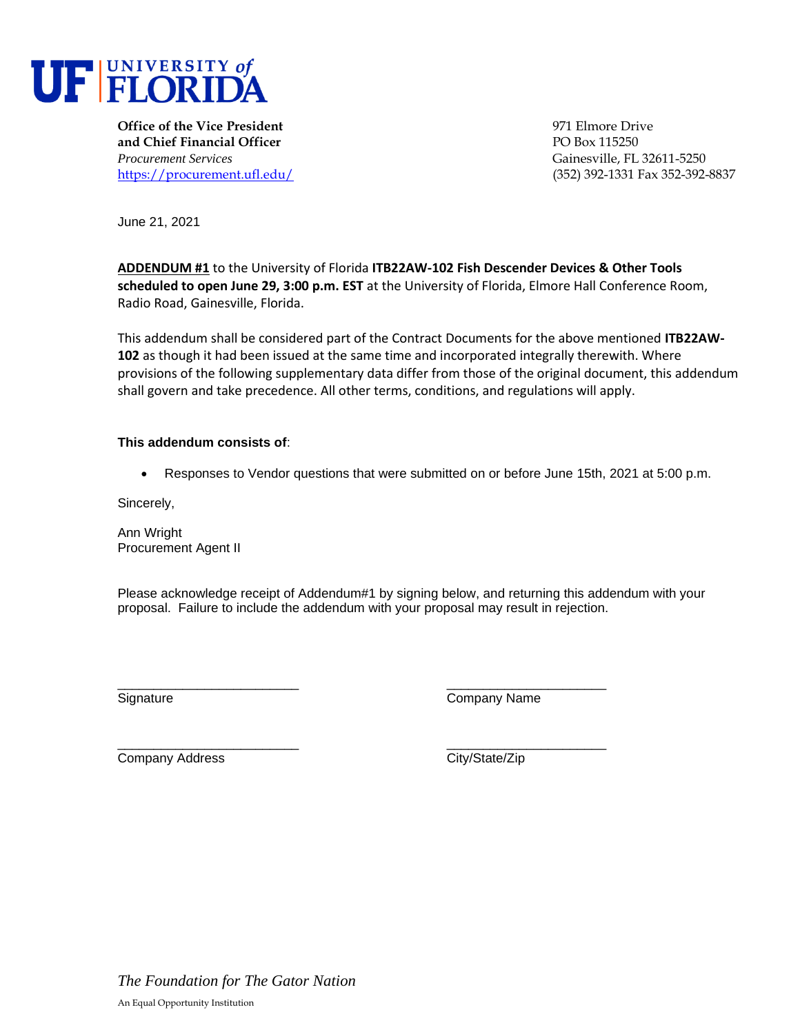

**Office of the Vice President** 1971 Elmore Drive **and Chief Financial Officer** PO Box 115250 *Procurement Services* Gainesville, FL 32611-5250

<https://procurement.ufl.edu/> (352) 392-1331 Fax 352-392-8837

June 21, 2021

**ADDENDUM #1** to the University of Florida **ITB22AW-102 Fish Descender Devices & Other Tools scheduled to open June 29, 3:00 p.m. EST** at the University of Florida, Elmore Hall Conference Room, Radio Road, Gainesville, Florida.

This addendum shall be considered part of the Contract Documents for the above mentioned **ITB22AW-102** as though it had been issued at the same time and incorporated integrally therewith. Where provisions of the following supplementary data differ from those of the original document, this addendum shall govern and take precedence. All other terms, conditions, and regulations will apply.

## **This addendum consists of**:

• Responses to Vendor questions that were submitted on or before June 15th, 2021 at 5:00 p.m.

Sincerely,

Ann Wright Procurement Agent II

Please acknowledge receipt of Addendum#1 by signing below, and returning this addendum with your proposal. Failure to include the addendum with your proposal may result in rejection.

\_\_\_\_\_\_\_\_\_\_\_\_\_\_\_\_\_\_\_\_\_\_\_\_\_ \_\_\_\_\_\_\_\_\_\_\_\_\_\_\_\_\_\_\_\_\_\_ Signature Company Name

\_\_\_\_\_\_\_\_\_\_\_\_\_\_\_\_\_\_\_\_\_\_\_\_\_ \_\_\_\_\_\_\_\_\_\_\_\_\_\_\_\_\_\_\_\_\_\_ Company Address City/State/Zip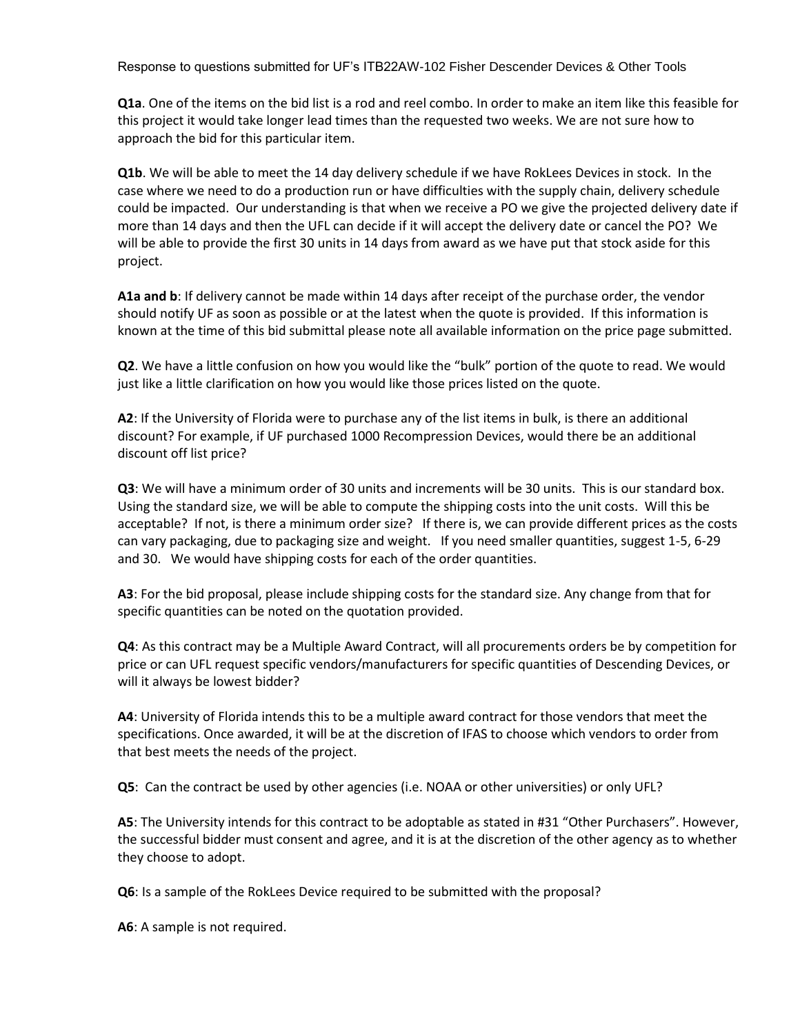Response to questions submitted for UF's ITB22AW-102 Fisher Descender Devices & Other Tools

**Q1a**. One of the items on the bid list is a rod and reel combo. In order to make an item like this feasible for this project it would take longer lead times than the requested two weeks. We are not sure how to approach the bid for this particular item.

**Q1b**. We will be able to meet the 14 day delivery schedule if we have RokLees Devices in stock. In the case where we need to do a production run or have difficulties with the supply chain, delivery schedule could be impacted. Our understanding is that when we receive a PO we give the projected delivery date if more than 14 days and then the UFL can decide if it will accept the delivery date or cancel the PO? We will be able to provide the first 30 units in 14 days from award as we have put that stock aside for this project.

**A1a and b**: If delivery cannot be made within 14 days after receipt of the purchase order, the vendor should notify UF as soon as possible or at the latest when the quote is provided. If this information is known at the time of this bid submittal please note all available information on the price page submitted.

**Q2**. We have a little confusion on how you would like the "bulk" portion of the quote to read. We would just like a little clarification on how you would like those prices listed on the quote.

**A2**: If the University of Florida were to purchase any of the list items in bulk, is there an additional discount? For example, if UF purchased 1000 Recompression Devices, would there be an additional discount off list price?

**Q3**: We will have a minimum order of 30 units and increments will be 30 units. This is our standard box. Using the standard size, we will be able to compute the shipping costs into the unit costs. Will this be acceptable? If not, is there a minimum order size? If there is, we can provide different prices as the costs can vary packaging, due to packaging size and weight. If you need smaller quantities, suggest 1-5, 6-29 and 30. We would have shipping costs for each of the order quantities.

**A3**: For the bid proposal, please include shipping costs for the standard size. Any change from that for specific quantities can be noted on the quotation provided.

**Q4**: As this contract may be a Multiple Award Contract, will all procurements orders be by competition for price or can UFL request specific vendors/manufacturers for specific quantities of Descending Devices, or will it always be lowest bidder?

**A4**: University of Florida intends this to be a multiple award contract for those vendors that meet the specifications. Once awarded, it will be at the discretion of IFAS to choose which vendors to order from that best meets the needs of the project.

**Q5**: Can the contract be used by other agencies (i.e. NOAA or other universities) or only UFL?

**A5**: The University intends for this contract to be adoptable as stated in #31 "Other Purchasers". However, the successful bidder must consent and agree, and it is at the discretion of the other agency as to whether they choose to adopt.

**Q6**: Is a sample of the RokLees Device required to be submitted with the proposal?

**A6**: A sample is not required.